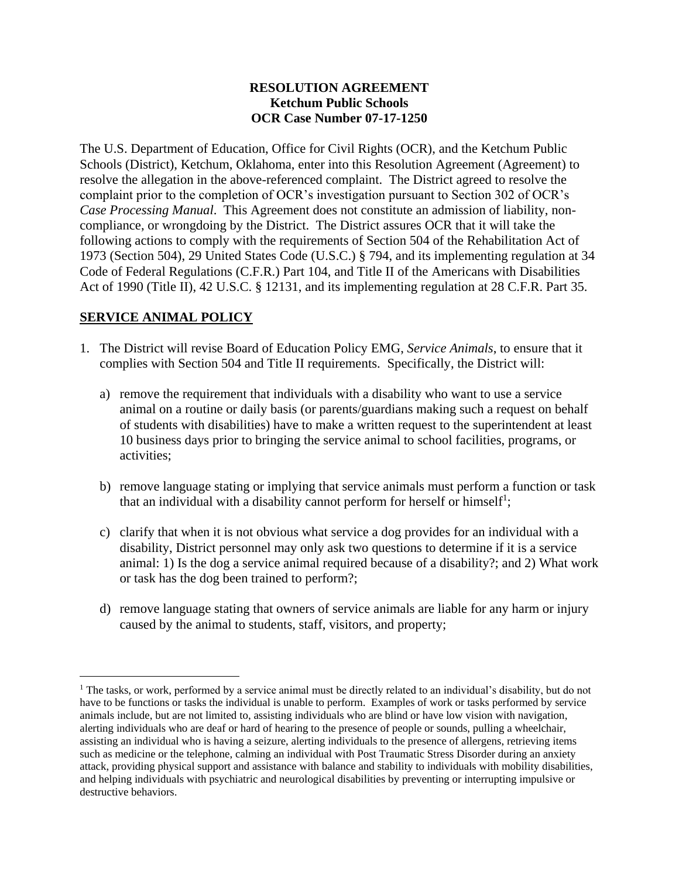#### **RESOLUTION AGREEMENT Ketchum Public Schools OCR Case Number 07-17-1250**

The U.S. Department of Education, Office for Civil Rights (OCR), and the Ketchum Public Schools (District), Ketchum, Oklahoma, enter into this Resolution Agreement (Agreement) to resolve the allegation in the above-referenced complaint. The District agreed to resolve the complaint prior to the completion of OCR's investigation pursuant to Section 302 of OCR's *Case Processing Manual*. This Agreement does not constitute an admission of liability, noncompliance, or wrongdoing by the District. The District assures OCR that it will take the following actions to comply with the requirements of Section 504 of the Rehabilitation Act of 1973 (Section 504), 29 United States Code (U.S.C.) § 794, and its implementing regulation at 34 Code of Federal Regulations (C.F.R.) Part 104, and Title II of the Americans with Disabilities Act of 1990 (Title II), 42 U.S.C. § 12131, and its implementing regulation at 28 C.F.R. Part 35.

## **SERVICE ANIMAL POLICY**

 $\overline{a}$ 

- 1. The District will revise Board of Education Policy EMG, *Service Animals*, to ensure that it complies with Section 504 and Title II requirements. Specifically, the District will:
	- a) remove the requirement that individuals with a disability who want to use a service animal on a routine or daily basis (or parents/guardians making such a request on behalf of students with disabilities) have to make a written request to the superintendent at least 10 business days prior to bringing the service animal to school facilities, programs, or activities;
	- b) remove language stating or implying that service animals must perform a function or task that an individual with a disability cannot perform for herself or himself<sup>1</sup>;
	- c) clarify that when it is not obvious what service a dog provides for an individual with a disability, District personnel may only ask two questions to determine if it is a service animal: 1) Is the dog a service animal required because of a disability?; and 2) What work or task has the dog been trained to perform?;
	- d) remove language stating that owners of service animals are liable for any harm or injury caused by the animal to students, staff, visitors, and property;

<sup>&</sup>lt;sup>1</sup> The tasks, or work, performed by a service animal must be directly related to an individual's disability, but do not have to be functions or tasks the individual is unable to perform. Examples of work or tasks performed by service animals include, but are not limited to, assisting individuals who are blind or have low vision with navigation, alerting individuals who are deaf or hard of hearing to the presence of people or sounds, pulling a wheelchair, assisting an individual who is having a seizure, alerting individuals to the presence of allergens, retrieving items such as medicine or the telephone, calming an individual with Post Traumatic Stress Disorder during an anxiety attack, providing physical support and assistance with balance and stability to individuals with mobility disabilities, and helping individuals with psychiatric and neurological disabilities by preventing or interrupting impulsive or destructive behaviors.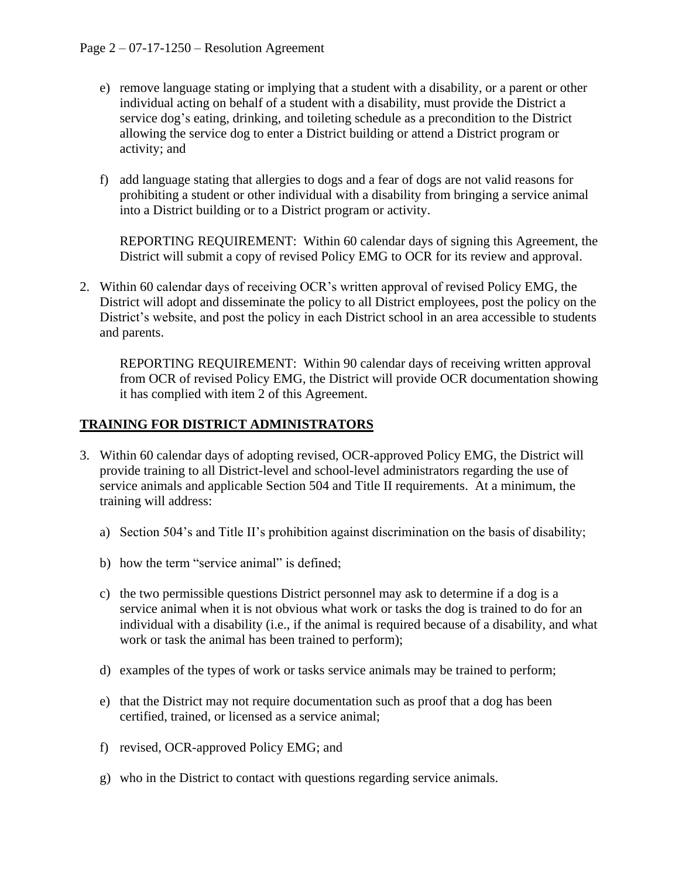- e) remove language stating or implying that a student with a disability, or a parent or other individual acting on behalf of a student with a disability, must provide the District a service dog's eating, drinking, and toileting schedule as a precondition to the District allowing the service dog to enter a District building or attend a District program or activity; and
- f) add language stating that allergies to dogs and a fear of dogs are not valid reasons for prohibiting a student or other individual with a disability from bringing a service animal into a District building or to a District program or activity.

REPORTING REQUIREMENT: Within 60 calendar days of signing this Agreement, the District will submit a copy of revised Policy EMG to OCR for its review and approval.

2. Within 60 calendar days of receiving OCR's written approval of revised Policy EMG, the District will adopt and disseminate the policy to all District employees, post the policy on the District's website, and post the policy in each District school in an area accessible to students and parents.

REPORTING REQUIREMENT: Within 90 calendar days of receiving written approval from OCR of revised Policy EMG, the District will provide OCR documentation showing it has complied with item 2 of this Agreement.

# **TRAINING FOR DISTRICT ADMINISTRATORS**

- 3. Within 60 calendar days of adopting revised, OCR-approved Policy EMG, the District will provide training to all District-level and school-level administrators regarding the use of service animals and applicable Section 504 and Title II requirements. At a minimum, the training will address:
	- a) Section 504's and Title II's prohibition against discrimination on the basis of disability;
	- b) how the term "service animal" is defined;
	- c) the two permissible questions District personnel may ask to determine if a dog is a service animal when it is not obvious what work or tasks the dog is trained to do for an individual with a disability (i.e., if the animal is required because of a disability, and what work or task the animal has been trained to perform);
	- d) examples of the types of work or tasks service animals may be trained to perform;
	- e) that the District may not require documentation such as proof that a dog has been certified, trained, or licensed as a service animal;
	- f) revised, OCR-approved Policy EMG; and
	- g) who in the District to contact with questions regarding service animals.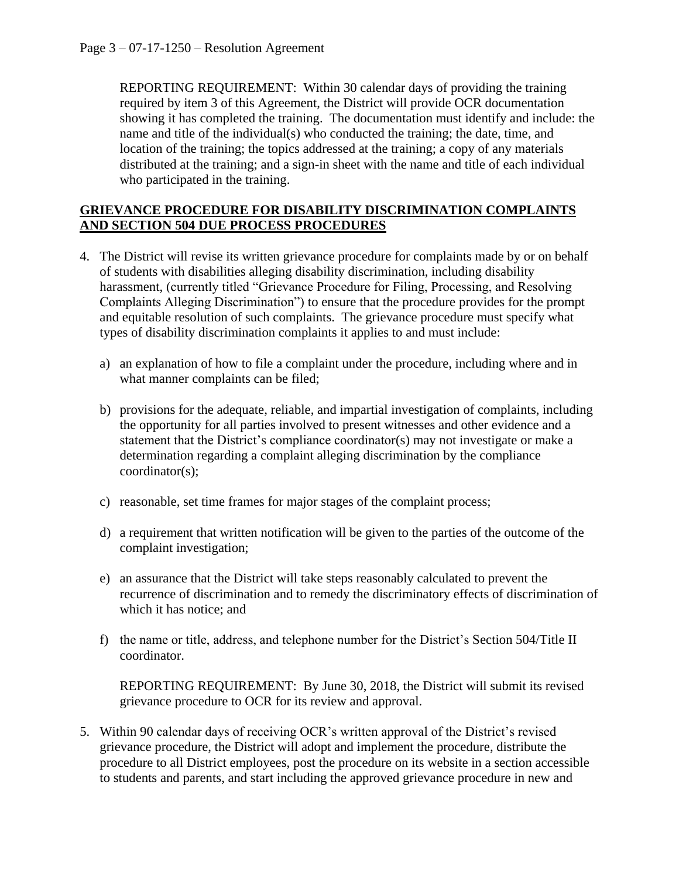REPORTING REQUIREMENT: Within 30 calendar days of providing the training required by item 3 of this Agreement, the District will provide OCR documentation showing it has completed the training. The documentation must identify and include: the name and title of the individual(s) who conducted the training; the date, time, and location of the training; the topics addressed at the training; a copy of any materials distributed at the training; and a sign-in sheet with the name and title of each individual who participated in the training.

### **GRIEVANCE PROCEDURE FOR DISABILITY DISCRIMINATION COMPLAINTS AND SECTION 504 DUE PROCESS PROCEDURES**

- 4. The District will revise its written grievance procedure for complaints made by or on behalf of students with disabilities alleging disability discrimination, including disability harassment, (currently titled "Grievance Procedure for Filing, Processing, and Resolving Complaints Alleging Discrimination") to ensure that the procedure provides for the prompt and equitable resolution of such complaints. The grievance procedure must specify what types of disability discrimination complaints it applies to and must include:
	- a) an explanation of how to file a complaint under the procedure, including where and in what manner complaints can be filed;
	- b) provisions for the adequate, reliable, and impartial investigation of complaints, including the opportunity for all parties involved to present witnesses and other evidence and a statement that the District's compliance coordinator(s) may not investigate or make a determination regarding a complaint alleging discrimination by the compliance coordinator(s);
	- c) reasonable, set time frames for major stages of the complaint process;
	- d) a requirement that written notification will be given to the parties of the outcome of the complaint investigation;
	- e) an assurance that the District will take steps reasonably calculated to prevent the recurrence of discrimination and to remedy the discriminatory effects of discrimination of which it has notice; and
	- f) the name or title, address, and telephone number for the District's Section 504/Title II coordinator.

REPORTING REQUIREMENT: By June 30, 2018, the District will submit its revised grievance procedure to OCR for its review and approval.

5. Within 90 calendar days of receiving OCR's written approval of the District's revised grievance procedure, the District will adopt and implement the procedure, distribute the procedure to all District employees, post the procedure on its website in a section accessible to students and parents, and start including the approved grievance procedure in new and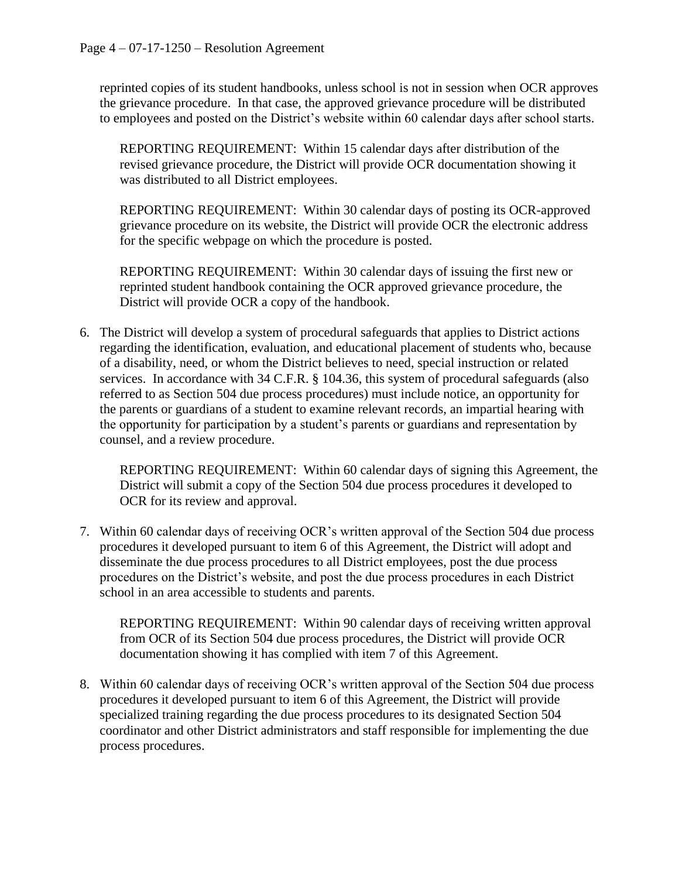reprinted copies of its student handbooks, unless school is not in session when OCR approves the grievance procedure. In that case, the approved grievance procedure will be distributed to employees and posted on the District's website within 60 calendar days after school starts.

REPORTING REQUIREMENT: Within 15 calendar days after distribution of the revised grievance procedure, the District will provide OCR documentation showing it was distributed to all District employees.

REPORTING REQUIREMENT: Within 30 calendar days of posting its OCR-approved grievance procedure on its website, the District will provide OCR the electronic address for the specific webpage on which the procedure is posted.

REPORTING REQUIREMENT: Within 30 calendar days of issuing the first new or reprinted student handbook containing the OCR approved grievance procedure, the District will provide OCR a copy of the handbook.

6. The District will develop a system of procedural safeguards that applies to District actions regarding the identification, evaluation, and educational placement of students who, because of a disability, need, or whom the District believes to need, special instruction or related services. In accordance with 34 C.F.R. § 104.36, this system of procedural safeguards (also referred to as Section 504 due process procedures) must include notice, an opportunity for the parents or guardians of a student to examine relevant records, an impartial hearing with the opportunity for participation by a student's parents or guardians and representation by counsel, and a review procedure.

REPORTING REQUIREMENT: Within 60 calendar days of signing this Agreement, the District will submit a copy of the Section 504 due process procedures it developed to OCR for its review and approval.

7. Within 60 calendar days of receiving OCR's written approval of the Section 504 due process procedures it developed pursuant to item 6 of this Agreement, the District will adopt and disseminate the due process procedures to all District employees, post the due process procedures on the District's website, and post the due process procedures in each District school in an area accessible to students and parents.

REPORTING REQUIREMENT: Within 90 calendar days of receiving written approval from OCR of its Section 504 due process procedures, the District will provide OCR documentation showing it has complied with item 7 of this Agreement.

8. Within 60 calendar days of receiving OCR's written approval of the Section 504 due process procedures it developed pursuant to item 6 of this Agreement, the District will provide specialized training regarding the due process procedures to its designated Section 504 coordinator and other District administrators and staff responsible for implementing the due process procedures.